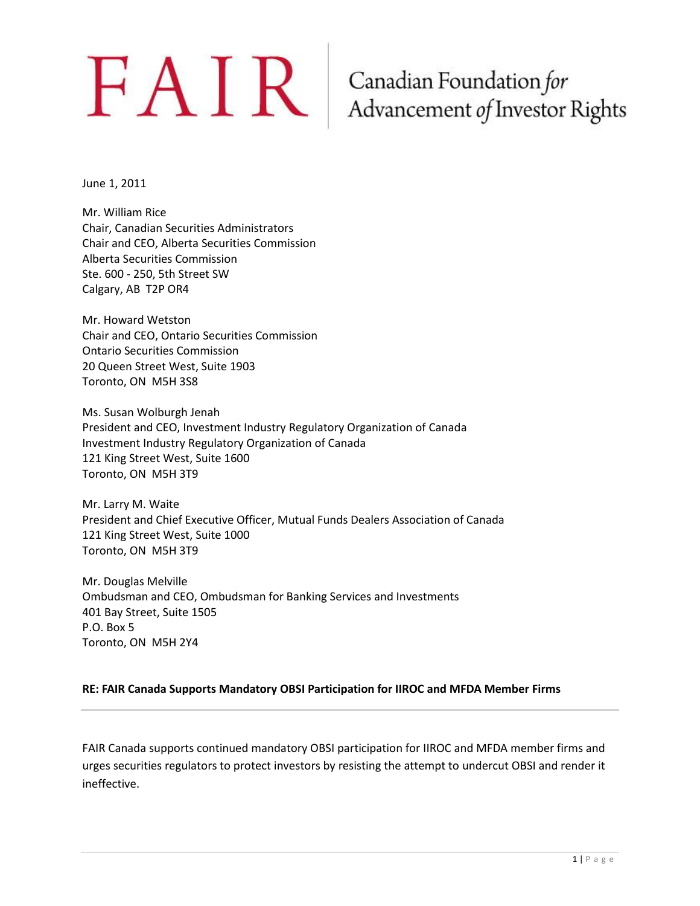# $\bf{FAM}$   $\bf{R}$   $\bf{Ganadian Foundation forAdvancement of Investment of$

June 1, 2011

Mr. William Rice Chair, Canadian Securities Administrators Chair and CEO, Alberta Securities Commission Alberta Securities Commission Ste. 600 - 250, 5th Street SW Calgary, AB T2P OR4

Mr. Howard Wetston Chair and CEO, Ontario Securities Commission Ontario Securities Commission 20 Queen Street West, Suite 1903 Toronto, ON M5H 3S8

Ms. Susan Wolburgh Jenah President and CEO, Investment Industry Regulatory Organization of Canada Investment Industry Regulatory Organization of Canada 121 King Street West, Suite 1600 Toronto, ON M5H 3T9

Mr. Larry M. Waite President and Chief Executive Officer, Mutual Funds Dealers Association of Canada 121 King Street West, Suite 1000 Toronto, ON M5H 3T9

Mr. Douglas Melville Ombudsman and CEO, Ombudsman for Banking Services and Investments 401 Bay Street, Suite 1505 P.O. Box 5 Toronto, ON M5H 2Y4

#### **RE: FAIR Canada Supports Mandatory OBSI Participation for IIROC and MFDA Member Firms**

FAIR Canada supports continued mandatory OBSI participation for IIROC and MFDA member firms and urges securities regulators to protect investors by resisting the attempt to undercut OBSI and render it ineffective.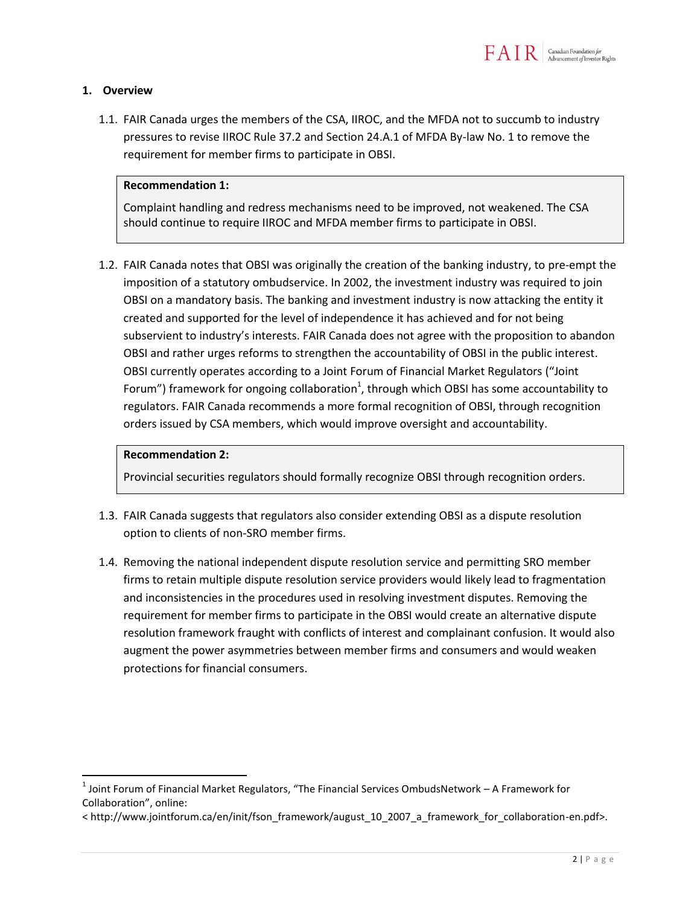

#### **1. Overview**

1.1. FAIR Canada urges the members of the CSA, IIROC, and the MFDA not to succumb to industry pressures to revise IIROC Rule 37.2 and Section 24.A.1 of MFDA By-law No. 1 to remove the requirement for member firms to participate in OBSI.

#### **Recommendation 1:**

Complaint handling and redress mechanisms need to be improved, not weakened. The CSA should continue to require IIROC and MFDA member firms to participate in OBSI.

1.2. FAIR Canada notes that OBSI was originally the creation of the banking industry, to pre-empt the imposition of a statutory ombudservice. In 2002, the investment industry was required to join OBSI on a mandatory basis. The banking and investment industry is now attacking the entity it created and supported for the level of independence it has achieved and for not being subservient to industry's interests. FAIR Canada does not agree with the proposition to abandon OBSI and rather urges reforms to strengthen the accountability of OBSI in the public interest. OBSI currently operates according to a Joint Forum of Financial Market Regulators ("Joint Forum") framework for ongoing collaboration<sup>1</sup>, through which OBSI has some accountability to regulators. FAIR Canada recommends a more formal recognition of OBSI, through recognition orders issued by CSA members, which would improve oversight and accountability.

#### **Recommendation 2:**

 $\overline{\phantom{a}}$ 

Provincial securities regulators should formally recognize OBSI through recognition orders.

- 1.3. FAIR Canada suggests that regulators also consider extending OBSI as a dispute resolution option to clients of non-SRO member firms.
- 1.4. Removing the national independent dispute resolution service and permitting SRO member firms to retain multiple dispute resolution service providers would likely lead to fragmentation and inconsistencies in the procedures used in resolving investment disputes. Removing the requirement for member firms to participate in the OBSI would create an alternative dispute resolution framework fraught with conflicts of interest and complainant confusion. It would also augment the power asymmetries between member firms and consumers and would weaken protections for financial consumers.

 $^1$  Joint Forum of Financial Market Regulators, "The Financial Services OmbudsNetwork – A Framework for Collaboration", online:

<sup>&</sup>lt; http://www.jointforum.ca/en/init/fson\_framework/august\_10\_2007\_a\_framework\_for\_collaboration-en.pdf>.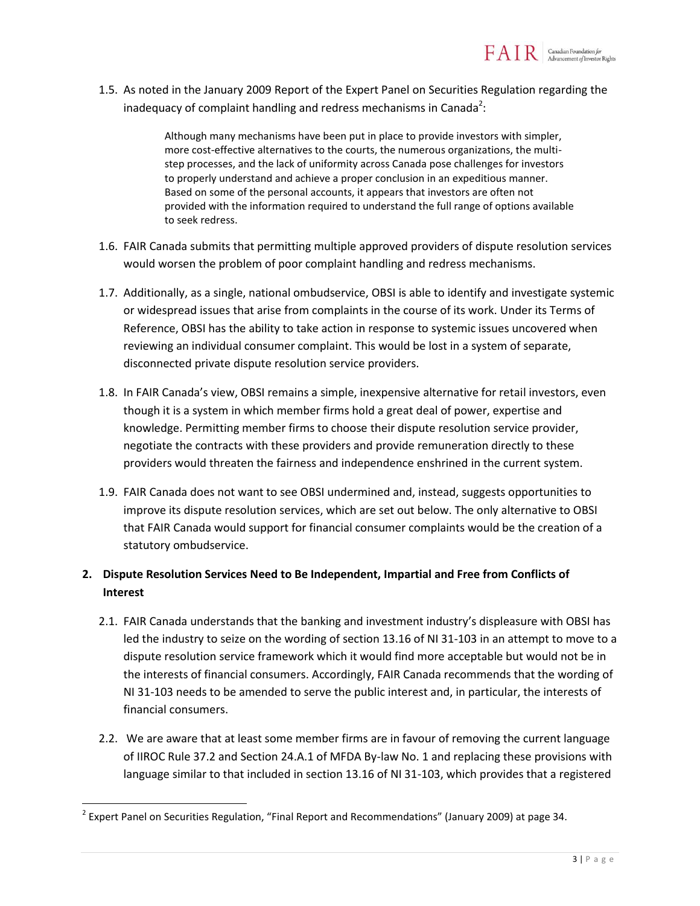1.5. As noted in the January 2009 Report of the Expert Panel on Securities Regulation regarding the inadequacy of complaint handling and redress mechanisms in Canada<sup>2</sup>:

> Although many mechanisms have been put in place to provide investors with simpler, more cost-effective alternatives to the courts, the numerous organizations, the multistep processes, and the lack of uniformity across Canada pose challenges for investors to properly understand and achieve a proper conclusion in an expeditious manner. Based on some of the personal accounts, it appears that investors are often not provided with the information required to understand the full range of options available to seek redress.

- 1.6. FAIR Canada submits that permitting multiple approved providers of dispute resolution services would worsen the problem of poor complaint handling and redress mechanisms.
- 1.7. Additionally, as a single, national ombudservice, OBSI is able to identify and investigate systemic or widespread issues that arise from complaints in the course of its work. Under its Terms of Reference, OBSI has the ability to take action in response to systemic issues uncovered when reviewing an individual consumer complaint. This would be lost in a system of separate, disconnected private dispute resolution service providers.
- 1.8. In FAIR Canada's view, OBSI remains a simple, inexpensive alternative for retail investors, even though it is a system in which member firms hold a great deal of power, expertise and knowledge. Permitting member firms to choose their dispute resolution service provider, negotiate the contracts with these providers and provide remuneration directly to these providers would threaten the fairness and independence enshrined in the current system.
- 1.9. FAIR Canada does not want to see OBSI undermined and, instead, suggests opportunities to improve its dispute resolution services, which are set out below. The only alternative to OBSI that FAIR Canada would support for financial consumer complaints would be the creation of a statutory ombudservice.

# **2. Dispute Resolution Services Need to Be Independent, Impartial and Free from Conflicts of Interest**

- 2.1. FAIR Canada understands that the banking and investment industry's displeasure with OBSI has led the industry to seize on the wording of section 13.16 of NI 31-103 in an attempt to move to a dispute resolution service framework which it would find more acceptable but would not be in the interests of financial consumers. Accordingly, FAIR Canada recommends that the wording of NI 31-103 needs to be amended to serve the public interest and, in particular, the interests of financial consumers.
- 2.2. We are aware that at least some member firms are in favour of removing the current language of IIROC Rule 37.2 and Section 24.A.1 of MFDA By-law No. 1 and replacing these provisions with language similar to that included in section 13.16 of NI 31-103, which provides that a registered

 $\overline{\phantom{a}}$ 

 $^{2}$  Expert Panel on Securities Regulation, "Final Report and Recommendations" (January 2009) at page 34.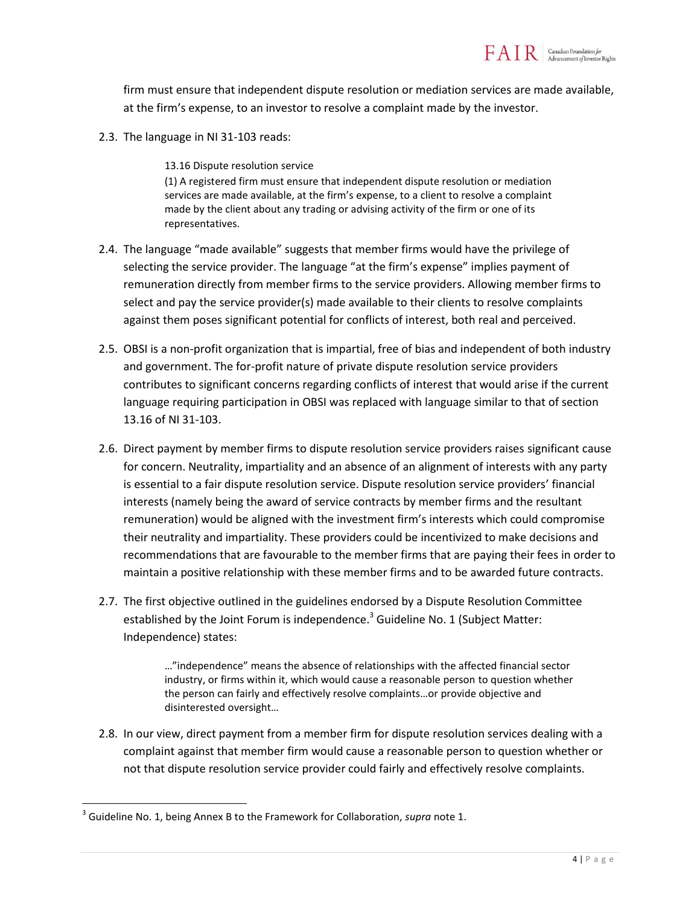firm must ensure that independent dispute resolution or mediation services are made available, at the firm's expense, to an investor to resolve a complaint made by the investor.

2.3. The language in NI 31-103 reads:

13.16 Dispute resolution service

(1) A registered firm must ensure that independent dispute resolution or mediation services are made available, at the firm's expense, to a client to resolve a complaint made by the client about any trading or advising activity of the firm or one of its representatives.

- 2.4. The language "made available" suggests that member firms would have the privilege of selecting the service provider. The language "at the firm's expense" implies payment of remuneration directly from member firms to the service providers. Allowing member firms to select and pay the service provider(s) made available to their clients to resolve complaints against them poses significant potential for conflicts of interest, both real and perceived.
- 2.5. OBSI is a non-profit organization that is impartial, free of bias and independent of both industry and government. The for-profit nature of private dispute resolution service providers contributes to significant concerns regarding conflicts of interest that would arise if the current language requiring participation in OBSI was replaced with language similar to that of section 13.16 of NI 31-103.
- 2.6. Direct payment by member firms to dispute resolution service providers raises significant cause for concern. Neutrality, impartiality and an absence of an alignment of interests with any party is essential to a fair dispute resolution service. Dispute resolution service providers' financial interests (namely being the award of service contracts by member firms and the resultant remuneration) would be aligned with the investment firm's interests which could compromise their neutrality and impartiality. These providers could be incentivized to make decisions and recommendations that are favourable to the member firms that are paying their fees in order to maintain a positive relationship with these member firms and to be awarded future contracts.
- 2.7. The first objective outlined in the guidelines endorsed by a Dispute Resolution Committee established by the Joint Forum is independence.<sup>3</sup> Guideline No. 1 (Subject Matter: Independence) states:

…"independence" means the absence of relationships with the affected financial sector industry, or firms within it, which would cause a reasonable person to question whether the person can fairly and effectively resolve complaints…or provide objective and disinterested oversight…

2.8. In our view, direct payment from a member firm for dispute resolution services dealing with a complaint against that member firm would cause a reasonable person to question whether or not that dispute resolution service provider could fairly and effectively resolve complaints.

 $\overline{\phantom{a}}$ 

<sup>3</sup> Guideline No. 1, being Annex B to the Framework for Collaboration, *supra* note 1.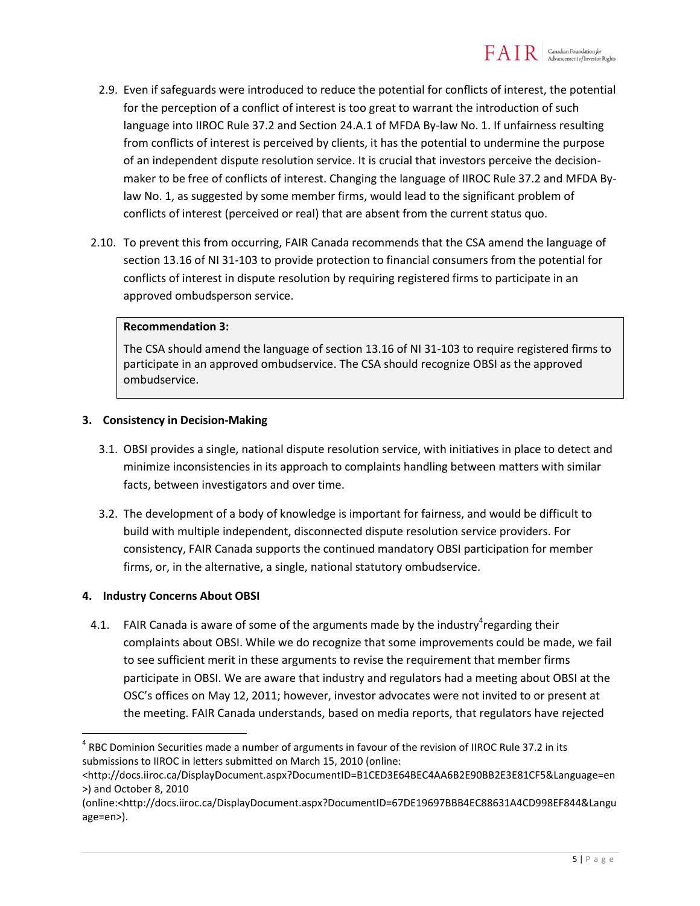- 2.9. Even if safeguards were introduced to reduce the potential for conflicts of interest, the potential for the perception of a conflict of interest is too great to warrant the introduction of such language into IIROC Rule 37.2 and Section 24.A.1 of MFDA By-law No. 1. If unfairness resulting from conflicts of interest is perceived by clients, it has the potential to undermine the purpose of an independent dispute resolution service. It is crucial that investors perceive the decisionmaker to be free of conflicts of interest. Changing the language of IIROC Rule 37.2 and MFDA Bylaw No. 1, as suggested by some member firms, would lead to the significant problem of conflicts of interest (perceived or real) that are absent from the current status quo.
- 2.10. To prevent this from occurring, FAIR Canada recommends that the CSA amend the language of section 13.16 of NI 31-103 to provide protection to financial consumers from the potential for conflicts of interest in dispute resolution by requiring registered firms to participate in an approved ombudsperson service.

## **Recommendation 3:**

The CSA should amend the language of section 13.16 of NI 31-103 to require registered firms to participate in an approved ombudservice. The CSA should recognize OBSI as the approved ombudservice.

#### **3. Consistency in Decision-Making**

- 3.1. OBSI provides a single, national dispute resolution service, with initiatives in place to detect and minimize inconsistencies in its approach to complaints handling between matters with similar facts, between investigators and over time.
- 3.2. The development of a body of knowledge is important for fairness, and would be difficult to build with multiple independent, disconnected dispute resolution service providers. For consistency, FAIR Canada supports the continued mandatory OBSI participation for member firms, or, in the alternative, a single, national statutory ombudservice.

#### **4. Industry Concerns About OBSI**

 $\overline{a}$ 

4.1. FAIR Canada is aware of some of the arguments made by the industry<sup>4</sup>regarding their complaints about OBSI. While we do recognize that some improvements could be made, we fail to see sufficient merit in these arguments to revise the requirement that member firms participate in OBSI. We are aware that industry and regulators had a meeting about OBSI at the OSC's offices on May 12, 2011; however, investor advocates were not invited to or present at the meeting. FAIR Canada understands, based on media reports, that regulators have rejected

<sup>&</sup>lt;sup>4</sup> RBC Dominion Securities made a number of arguments in favour of the revision of IIROC Rule 37.2 in its submissions to IIROC in letters submitted on March 15, 2010 (online:

<sup>&</sup>lt;http://docs.iiroc.ca/DisplayDocument.aspx?DocumentID=B1CED3E64BEC4AA6B2E90BB2E3E81CF5&Language=en >) and October 8, 2010

<sup>(</sup>online:<http://docs.iiroc.ca/DisplayDocument.aspx?DocumentID=67DE19697BBB4EC88631A4CD998EF844&Langu age=en>).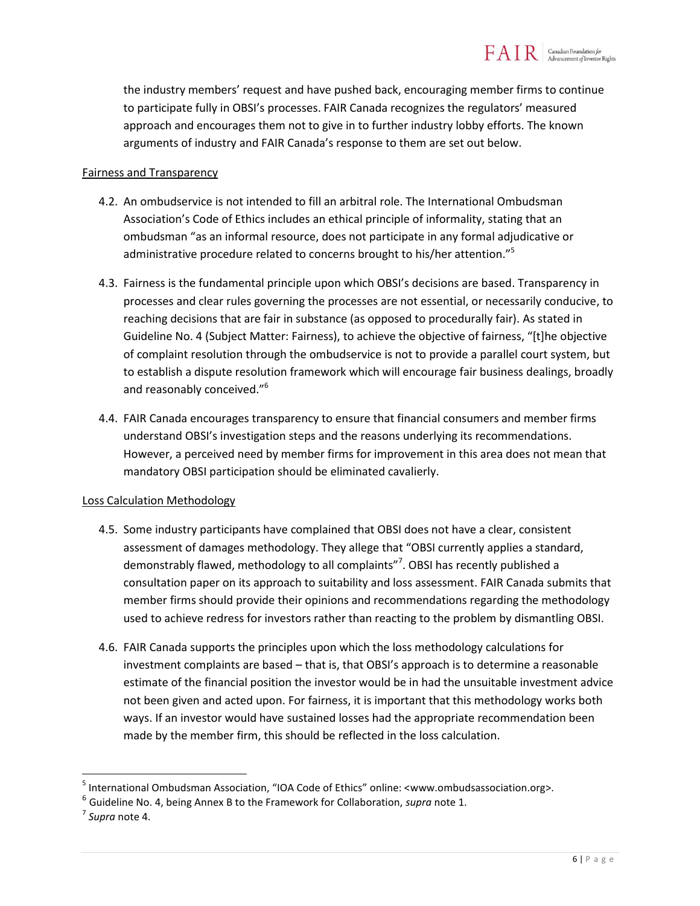the industry members' request and have pushed back, encouraging member firms to continue to participate fully in OBSI's processes. FAIR Canada recognizes the regulators' measured approach and encourages them not to give in to further industry lobby efforts. The known arguments of industry and FAIR Canada's response to them are set out below.

#### Fairness and Transparency

- 4.2. An ombudservice is not intended to fill an arbitral role. The International Ombudsman Association's Code of Ethics includes an ethical principle of informality, stating that an ombudsman "as an informal resource, does not participate in any formal adjudicative or administrative procedure related to concerns brought to his/her attention."<sup>5</sup>
- 4.3. Fairness is the fundamental principle upon which OBSI's decisions are based. Transparency in processes and clear rules governing the processes are not essential, or necessarily conducive, to reaching decisions that are fair in substance (as opposed to procedurally fair). As stated in Guideline No. 4 (Subject Matter: Fairness), to achieve the objective of fairness, "[t]he objective of complaint resolution through the ombudservice is not to provide a parallel court system, but to establish a dispute resolution framework which will encourage fair business dealings, broadly and reasonably conceived."<sup>6</sup>
- 4.4. FAIR Canada encourages transparency to ensure that financial consumers and member firms understand OBSI's investigation steps and the reasons underlying its recommendations. However, a perceived need by member firms for improvement in this area does not mean that mandatory OBSI participation should be eliminated cavalierly.

#### Loss Calculation Methodology

- 4.5. Some industry participants have complained that OBSI does not have a clear, consistent assessment of damages methodology. They allege that "OBSI currently applies a standard, demonstrably flawed, methodology to all complaints"<sup>7</sup>. OBSI has recently published a consultation paper on its approach to suitability and loss assessment. FAIR Canada submits that member firms should provide their opinions and recommendations regarding the methodology used to achieve redress for investors rather than reacting to the problem by dismantling OBSI.
- 4.6. FAIR Canada supports the principles upon which the loss methodology calculations for investment complaints are based – that is, that OBSI's approach is to determine a reasonable estimate of the financial position the investor would be in had the unsuitable investment advice not been given and acted upon. For fairness, it is important that this methodology works both ways. If an investor would have sustained losses had the appropriate recommendation been made by the member firm, this should be reflected in the loss calculation.

 $\overline{\phantom{a}}$ 

<sup>&</sup>lt;sup>5</sup> International Ombudsman Association, "IOA Code of Ethics" online: <www.ombudsassociation.org>.

<sup>6</sup> Guideline No. 4, being Annex B to the Framework for Collaboration, *supra* note 1.

<sup>7</sup> *Supra* note 4.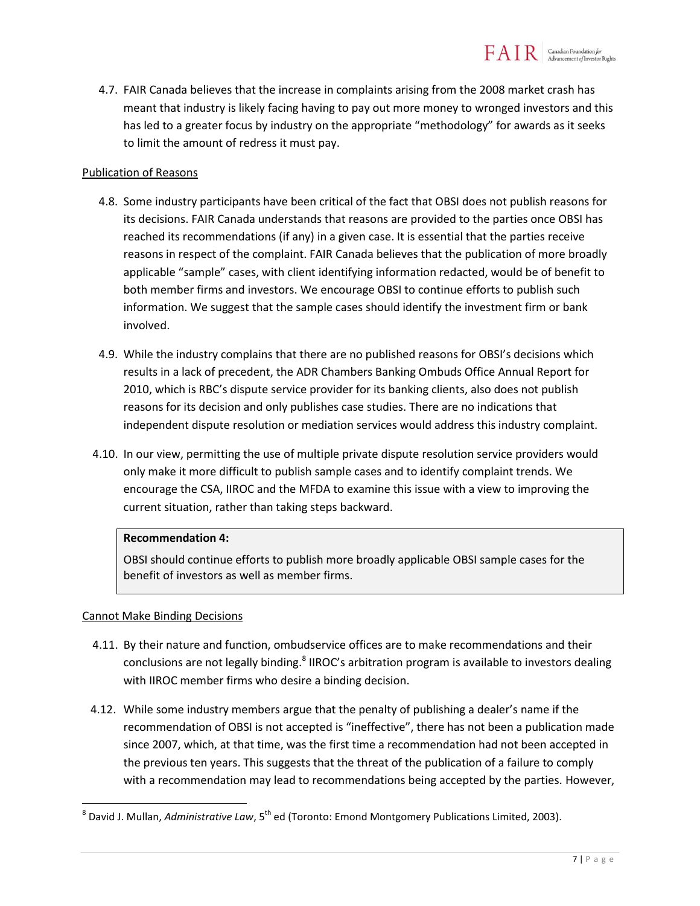4.7. FAIR Canada believes that the increase in complaints arising from the 2008 market crash has meant that industry is likely facing having to pay out more money to wronged investors and this has led to a greater focus by industry on the appropriate "methodology" for awards as it seeks to limit the amount of redress it must pay.

### Publication of Reasons

- 4.8. Some industry participants have been critical of the fact that OBSI does not publish reasons for its decisions. FAIR Canada understands that reasons are provided to the parties once OBSI has reached its recommendations (if any) in a given case. It is essential that the parties receive reasons in respect of the complaint. FAIR Canada believes that the publication of more broadly applicable "sample" cases, with client identifying information redacted, would be of benefit to both member firms and investors. We encourage OBSI to continue efforts to publish such information. We suggest that the sample cases should identify the investment firm or bank involved.
- 4.9. While the industry complains that there are no published reasons for OBSI's decisions which results in a lack of precedent, the ADR Chambers Banking Ombuds Office Annual Report for 2010, which is RBC's dispute service provider for its banking clients, also does not publish reasons for its decision and only publishes case studies. There are no indications that independent dispute resolution or mediation services would address this industry complaint.
- 4.10. In our view, permitting the use of multiple private dispute resolution service providers would only make it more difficult to publish sample cases and to identify complaint trends. We encourage the CSA, IIROC and the MFDA to examine this issue with a view to improving the current situation, rather than taking steps backward.

#### **Recommendation 4:**

OBSI should continue efforts to publish more broadly applicable OBSI sample cases for the benefit of investors as well as member firms.

# Cannot Make Binding Decisions

- 4.11. By their nature and function, ombudservice offices are to make recommendations and their conclusions are not legally binding.<sup>8</sup> IIROC's arbitration program is available to investors dealing with IIROC member firms who desire a binding decision.
- 4.12. While some industry members argue that the penalty of publishing a dealer's name if the recommendation of OBSI is not accepted is "ineffective", there has not been a publication made since 2007, which, at that time, was the first time a recommendation had not been accepted in the previous ten years. This suggests that the threat of the publication of a failure to comply with a recommendation may lead to recommendations being accepted by the parties. However,

 $\overline{\phantom{a}}$ <sup>8</sup> David J. Mullan, *Administrative Law*, 5<sup>th</sup> ed (Toronto: Emond Montgomery Publications Limited, 2003).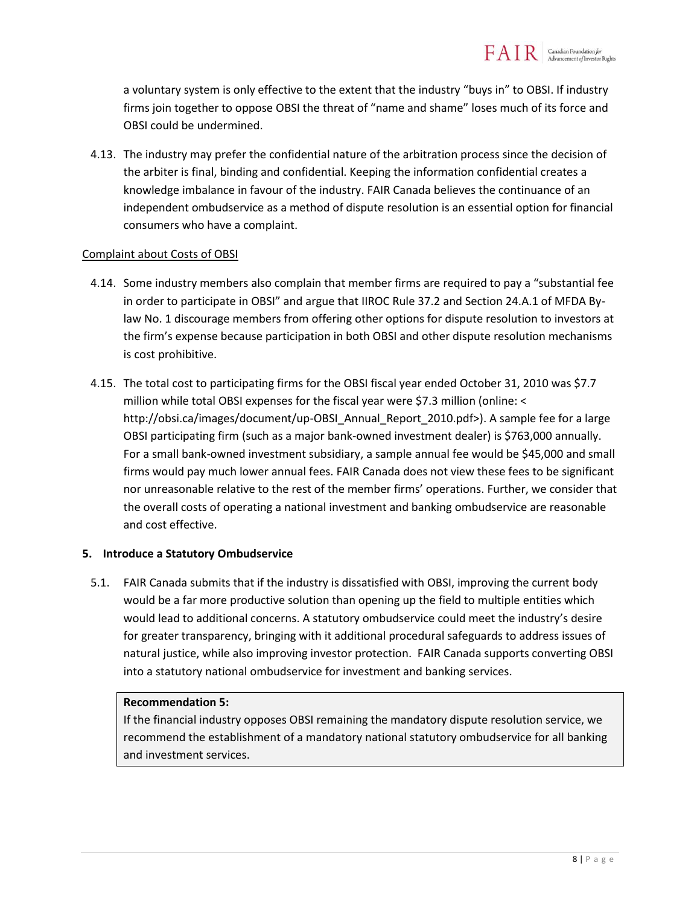a voluntary system is only effective to the extent that the industry "buys in" to OBSI. If industry firms join together to oppose OBSI the threat of "name and shame" loses much of its force and OBSI could be undermined.

4.13. The industry may prefer the confidential nature of the arbitration process since the decision of the arbiter is final, binding and confidential. Keeping the information confidential creates a knowledge imbalance in favour of the industry. FAIR Canada believes the continuance of an independent ombudservice as a method of dispute resolution is an essential option for financial consumers who have a complaint.

#### Complaint about Costs of OBSI

- 4.14. Some industry members also complain that member firms are required to pay a "substantial fee in order to participate in OBSI" and argue that IIROC Rule 37.2 and Section 24.A.1 of MFDA Bylaw No. 1 discourage members from offering other options for dispute resolution to investors at the firm's expense because participation in both OBSI and other dispute resolution mechanisms is cost prohibitive.
- 4.15. The total cost to participating firms for the OBSI fiscal year ended October 31, 2010 was \$7.7 million while total OBSI expenses for the fiscal year were \$7.3 million (online: < http://obsi.ca/images/document/up-OBSI\_Annual\_Report\_2010.pdf>). A sample fee for a large OBSI participating firm (such as a major bank-owned investment dealer) is \$763,000 annually. For a small bank-owned investment subsidiary, a sample annual fee would be \$45,000 and small firms would pay much lower annual fees. FAIR Canada does not view these fees to be significant nor unreasonable relative to the rest of the member firms' operations. Further, we consider that the overall costs of operating a national investment and banking ombudservice are reasonable and cost effective.

#### **5. Introduce a Statutory Ombudservice**

5.1. FAIR Canada submits that if the industry is dissatisfied with OBSI, improving the current body would be a far more productive solution than opening up the field to multiple entities which would lead to additional concerns. A statutory ombudservice could meet the industry's desire for greater transparency, bringing with it additional procedural safeguards to address issues of natural justice, while also improving investor protection. FAIR Canada supports converting OBSI into a statutory national ombudservice for investment and banking services.

#### **Recommendation 5:**

If the financial industry opposes OBSI remaining the mandatory dispute resolution service, we recommend the establishment of a mandatory national statutory ombudservice for all banking and investment services.